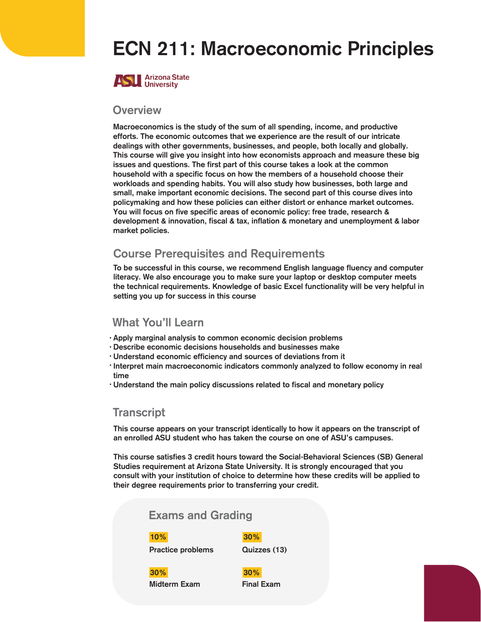# ECN 211: Macroeconomic Principles



#### **Overview**

Macroeconomics is the study of the sum of all spending, income, and productive efforts. The economic outcomes that we experience are the result of our intricate dealings with other governments, businesses, and people, both locally and globally. This course will give you insight into how economists approach and measure these big issues and questions. The first part of this course takes a look at the common household with a specific focus on how the members of a household choose their workloads and spending habits. You will also study how businesses, both large and small, make important economic decisions. The second part of this course dives into policymaking and how these policies can either distort or enhance market outcomes. You will focus on five specific areas of economic policy: free trade, research & development & innovation, fiscal & tax, inflation & monetary and unemployment & labor market policies.

## Course Prerequisites and Requirements

To be successful in this course, we recommend English language fluency and computer literacy. We also encourage you to make sure your laptop or desktop computer meets the technical requirements. Knowledge of basic Excel functionality will be very helpful in setting you up for success in this course

## What You'll Learn

- · Apply marginal analysis to common economic decision problems
- Describe economic decisions households and businesses make •
- Understand economic efficiency and sources of deviations from it •
- · Interpret main macroeconomic indicators commonly analyzed to follow economy in real time
- Understand the main policy discussions related to fiscal and monetary policy •

### **Transcript**

This course appears on your transcript identically to how it appears on the transcript of an enrolled ASU student who has taken the course on one of ASU's campuses.

This course satisfies 3 credit hours toward the Social-Behavioral Sciences (SB) General Studies requirement at Arizona State University. It is strongly encouraged that you consult with your institution of choice to determine how these credits will be applied to their degree requirements prior to transferring your credit.

## Exams and Grading

#### 10% 30%

Practice problems **Quizzes (13)** 

30% 30%

Midterm Exam Final Exam